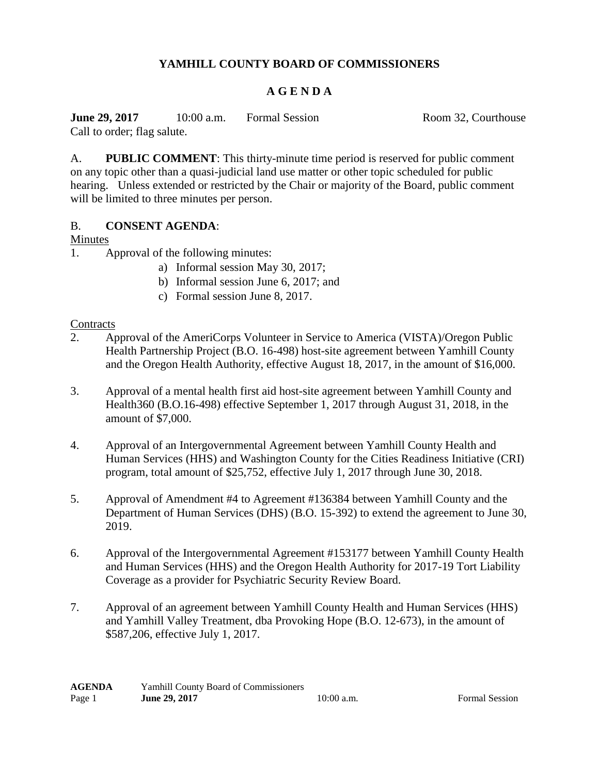# **YAMHILL COUNTY BOARD OF COMMISSIONERS**

## **A G E N D A**

**June 29, 2017** 10:00 a.m. Formal Session Room 32, Courthouse Call to order; flag salute.

A. **PUBLIC COMMENT**: This thirty-minute time period is reserved for public comment on any topic other than a quasi-judicial land use matter or other topic scheduled for public hearing. Unless extended or restricted by the Chair or majority of the Board, public comment will be limited to three minutes per person.

### B. **CONSENT AGENDA**:

#### Minutes

- 1. Approval of the following minutes:
	- a) Informal session May 30, 2017;
	- b) Informal session June 6, 2017; and
	- c) Formal session June 8, 2017.

#### **Contracts**

- 2. Approval of the AmeriCorps Volunteer in Service to America (VISTA)/Oregon Public Health Partnership Project (B.O. 16-498) host-site agreement between Yamhill County and the Oregon Health Authority, effective August 18, 2017, in the amount of \$16,000.
- 3. Approval of a mental health first aid host-site agreement between Yamhill County and Health360 (B.O.16-498) effective September 1, 2017 through August 31, 2018, in the amount of \$7,000.
- 4. Approval of an Intergovernmental Agreement between Yamhill County Health and Human Services (HHS) and Washington County for the Cities Readiness Initiative (CRI) program, total amount of \$25,752, effective July 1, 2017 through June 30, 2018.
- 5. Approval of Amendment #4 to Agreement #136384 between Yamhill County and the Department of Human Services (DHS) (B.O. 15-392) to extend the agreement to June 30, 2019.
- 6. Approval of the Intergovernmental Agreement #153177 between Yamhill County Health and Human Services (HHS) and the Oregon Health Authority for 2017-19 Tort Liability Coverage as a provider for Psychiatric Security Review Board.
- 7. Approval of an agreement between Yamhill County Health and Human Services (HHS) and Yamhill Valley Treatment, dba Provoking Hope (B.O. 12-673), in the amount of \$587,206, effective July 1, 2017.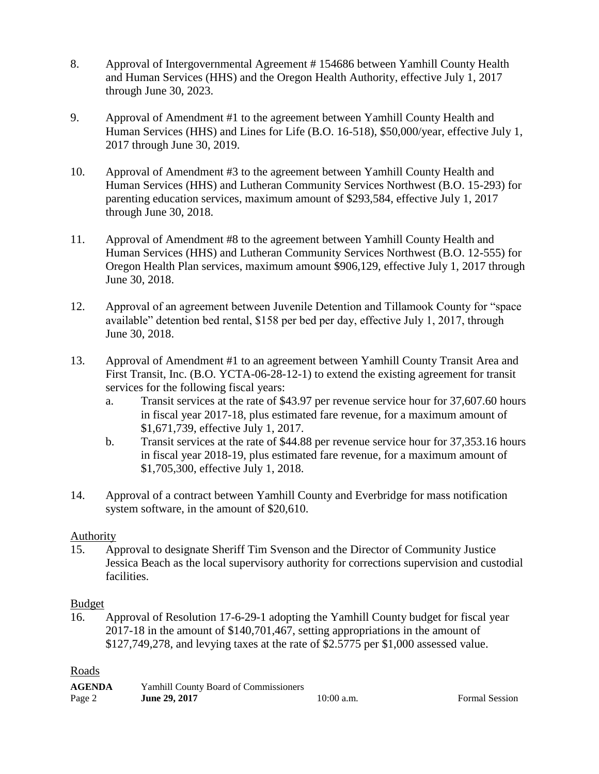- 8. Approval of Intergovernmental Agreement # 154686 between Yamhill County Health and Human Services (HHS) and the Oregon Health Authority, effective July 1, 2017 through June 30, 2023.
- 9. Approval of Amendment #1 to the agreement between Yamhill County Health and Human Services (HHS) and Lines for Life (B.O. 16-518), \$50,000/year, effective July 1, 2017 through June 30, 2019.
- 10. Approval of Amendment #3 to the agreement between Yamhill County Health and Human Services (HHS) and Lutheran Community Services Northwest (B.O. 15-293) for parenting education services, maximum amount of \$293,584, effective July 1, 2017 through June 30, 2018.
- 11. Approval of Amendment #8 to the agreement between Yamhill County Health and Human Services (HHS) and Lutheran Community Services Northwest (B.O. 12-555) for Oregon Health Plan services, maximum amount \$906,129, effective July 1, 2017 through June 30, 2018.
- 12. Approval of an agreement between Juvenile Detention and Tillamook County for "space available" detention bed rental, \$158 per bed per day, effective July 1, 2017, through June 30, 2018.
- 13. Approval of Amendment #1 to an agreement between Yamhill County Transit Area and First Transit, Inc. (B.O. YCTA-06-28-12-1) to extend the existing agreement for transit services for the following fiscal years:
	- a. Transit services at the rate of \$43.97 per revenue service hour for 37,607.60 hours in fiscal year 2017-18, plus estimated fare revenue, for a maximum amount of \$1,671,739, effective July 1, 2017.
	- b. Transit services at the rate of \$44.88 per revenue service hour for 37,353.16 hours in fiscal year 2018-19, plus estimated fare revenue, for a maximum amount of \$1,705,300, effective July 1, 2018.
- 14. Approval of a contract between Yamhill County and Everbridge for mass notification system software, in the amount of \$20,610.

### **Authority**

15. Approval to designate Sheriff Tim Svenson and the Director of Community Justice Jessica Beach as the local supervisory authority for corrections supervision and custodial facilities.

#### Budget

16. Approval of Resolution 17-6-29-1 adopting the Yamhill County budget for fiscal year 2017-18 in the amount of \$140,701,467, setting appropriations in the amount of \$127,749,278, and levying taxes at the rate of \$2.5775 per \$1,000 assessed value.

### Roads

| <b>AGENDA</b> | Yamhill County Board of Commissioners |           |
|---------------|---------------------------------------|-----------|
| Page 2        | June 29, 2017                         | 10:00 a.m |

**Formal Session**